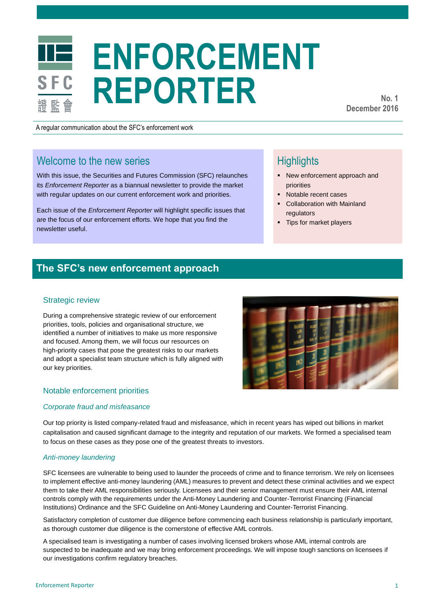# **ENFORCEMENT REPORTER**

**No. 1 December 2016**

A regular communication about the SFC's enforcement work

# Welcome to the new series

With this issue, the Securities and Futures Commission (SFC) relaunches its *Enforcement Reporter* as a biannual newsletter to provide the market with regular updates on our current enforcement work and priorities.

Each issue of the *Enforcement Reporter* will highlight specific issues that are the focus of our enforcement efforts. We hope that you find the newsletter useful.

# **Highlights**

- New enforcement approach and priorities
- Notable recent cases
- Collaboration with Mainland regulators
- Tips for market players

## **The SFC's new enforcement approach**

#### Strategic review

During a comprehensive strategic review of our enforcement priorities, tools, policies and organisational structure, we identified a number of initiatives to make us more responsive and focused. Among them, we will focus our resources on high-priority cases that pose the greatest risks to our markets and adopt a specialist team structure which is fully aligned with our key priorities.

#### Notable enforcement priorities

#### *Corporate fraud and misfeasance*

Our top priority is listed company-related fraud and misfeasance, which in recent years has wiped out billions in market capitalisation and caused significant damage to the integrity and reputation of our markets. We formed a specialised team to focus on these cases as they pose one of the greatest threats to investors.

#### *Anti-money laundering*

SFC licensees are vulnerable to being used to launder the proceeds of crime and to finance terrorism. We rely on licensees to implement effective anti-money laundering (AML) measures to prevent and detect these criminal activities and we expect them to take their AML responsibilities seriously. Licensees and their senior management must ensure their AML internal controls comply with the requirements under the Anti-Money Laundering and Counter-Terrorist Financing (Financial Institutions) Ordinance and the SFC Guideline on Anti-Money Laundering and Counter-Terrorist Financing.

Satisfactory completion of customer due diligence before commencing each business relationship is particularly important, as thorough customer due diligence is the cornerstone of effective AML controls.

A specialised team is investigating a number of cases involving licensed brokers whose AML internal controls are suspected to be inadequate and we may bring enforcement proceedings. We will impose tough sanctions on licensees if our investigations confirm regulatory breaches.

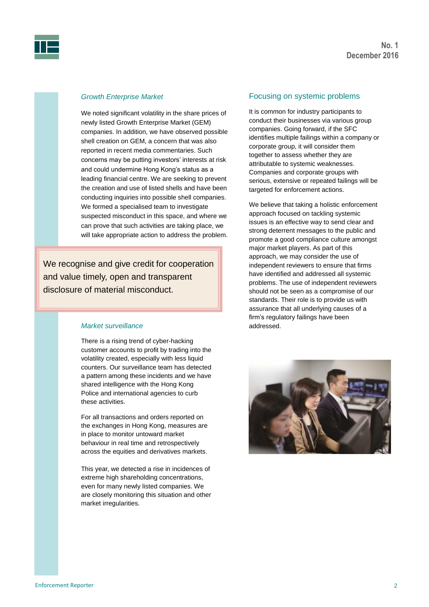

#### *Growth Enterprise Market*

We noted significant volatility in the share prices of newly listed Growth Enterprise Market (GEM) companies. In addition, we have observed possible shell creation on GEM, a concern that was also reported in recent media commentaries. Such concerns may be putting investors' interests at risk and could undermine Hong Kong's status as a leading financial centre. We are seeking to prevent the creation and use of listed shells and have been conducting inquiries into possible shell companies. We formed a specialised team to investigate suspected misconduct in this space, and where we can prove that such activities are taking place, we will take appropriate action to address the problem.

We recognise and give credit for cooperation and value timely, open and transparent disclosure of material misconduct.

#### *Market surveillance*

There is a rising trend of cyber-hacking customer accounts to profit by trading into the volatility created, especially with less liquid counters. Our surveillance team has detected a pattern among these incidents and we have shared intelligence with the Hong Kong Police and international agencies to curb these activities.

For all transactions and orders reported on the exchanges in Hong Kong, measures are in place to monitor untoward market behaviour in real time and retrospectively across the equities and derivatives markets.

This year, we detected a rise in incidences of extreme high shareholding concentrations, even for many newly listed companies. We are closely monitoring this situation and other market irregularities.

#### Focusing on systemic problems

It is common for industry participants to conduct their businesses via various group companies. Going forward, if the SFC identifies multiple failings within a company or corporate group, it will consider them together to assess whether they are attributable to systemic weaknesses. Companies and corporate groups with serious, extensive or repeated failings will be targeted for enforcement actions.

We believe that taking a holistic enforcement approach focused on tackling systemic issues is an effective way to send clear and strong deterrent messages to the public and promote a good compliance culture amongst major market players. As part of this approach, we may consider the use of independent reviewers to ensure that firms have identified and addressed all systemic problems. The use of independent reviewers should not be seen as a compromise of our standards. Their role is to provide us with assurance that all underlying causes of a firm's regulatory failings have been addressed.

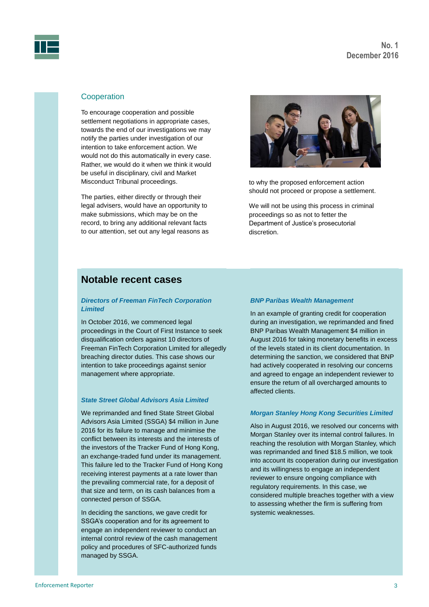

#### **Cooperation**

To encourage cooperation and possible settlement negotiations in appropriate cases, towards the end of our investigations we may notify the parties under investigation of our intention to take enforcement action. We would not do this automatically in every case. Rather, we would do it when we think it would be useful in disciplinary, civil and Market Misconduct Tribunal proceedings.

The parties, either directly or through their legal advisers, would have an opportunity to make submissions, which may be on the record, to bring any additional relevant facts to our attention, set out any legal reasons as



to why the proposed enforcement action should not proceed or propose a settlement.

We will not be using this process in criminal proceedings so as not to fetter the Department of Justice's prosecutorial discretion.

### **Notable recent cases**

#### *Directors of Freeman FinTech Corporation Limited*

In October 2016, we commenced legal proceedings in the Court of First Instance to seek disqualification orders against 10 directors of Freeman FinTech Corporation Limited for allegedly breaching director duties. This case shows our intention to take proceedings against senior management where appropriate.

#### *State Street Global Advisors Asia Limited*

We reprimanded and fined State Street Global Advisors Asia Limited (SSGA) \$4 million in June 2016 for its failure to manage and minimise the conflict between its interests and the interests of the investors of the Tracker Fund of Hong Kong, an exchange-traded fund under its management. This failure led to the Tracker Fund of Hong Kong receiving interest payments at a rate lower than the prevailing commercial rate, for a deposit of that size and term, on its cash balances from a connected person of SSGA.

In deciding the sanctions, we gave credit for SSGA's cooperation and for its agreement to engage an independent reviewer to conduct an internal control review of the cash management policy and procedures of SFC-authorized funds managed by SSGA.

#### *BNP Paribas Wealth Management*

In an example of granting credit for cooperation during an investigation, we reprimanded and fined BNP Paribas Wealth Management \$4 million in August 2016 for taking monetary benefits in excess of the levels stated in its client documentation. In determining the sanction, we considered that BNP had actively cooperated in resolving our concerns and agreed to engage an independent reviewer to ensure the return of all overcharged amounts to affected clients.

#### *Morgan Stanley Hong Kong Securities Limited*

Also in August 2016, we resolved our concerns with Morgan Stanley over its internal control failures. In reaching the resolution with Morgan Stanley, which was reprimanded and fined \$18.5 million, we took into account its cooperation during our investigation and its willingness to engage an independent reviewer to ensure ongoing compliance with regulatory requirements. In this case, we considered multiple breaches together with a view to assessing whether the firm is suffering from systemic weaknesses.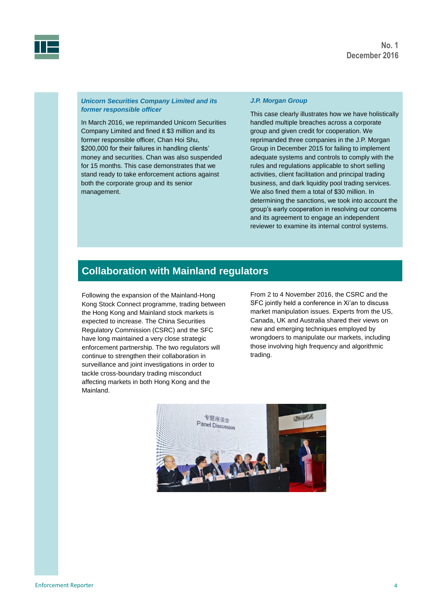



#### *Unicorn Securities Company Limited and its former responsible officer*

In March 2016, we reprimanded Unicorn Securities Company Limited and fined it \$3 million and its former responsible officer, Chan Hoi Shu, \$200,000 for their failures in handling clients' money and securities. Chan was also suspended for 15 months. This case demonstrates that we stand ready to take enforcement actions against both the corporate group and its senior management.

#### *J.P. Morgan Group*

This case clearly illustrates how we have holistically handled multiple breaches across a corporate group and given credit for cooperation. We reprimanded three companies in the J.P. Morgan Group in December 2015 for failing to implement adequate systems and controls to comply with the rules and regulations applicable to short selling activities, client facilitation and principal trading business, and dark liquidity pool trading services. We also fined them a total of \$30 million. In determining the sanctions, we took into account the group's early cooperation in resolving our concerns and its agreement to engage an independent reviewer to examine its internal control systems.

## **Collaboration with Mainland regulators**

Following the expansion of the Mainland-Hong Kong Stock Connect programme, trading between the Hong Kong and Mainland stock markets is expected to increase. The China Securities Regulatory Commission (CSRC) and the SFC have long maintained a very close strategic enforcement partnership. The two regulators will continue to strengthen their collaboration in surveillance and joint investigations in order to tackle cross-boundary trading misconduct affecting markets in both Hong Kong and the Mainland.

From 2 to 4 November 2016, the CSRC and the SFC jointly held a conference in Xi'an to discuss market manipulation issues. Experts from the US, Canada, UK and Australia shared their views on new and emerging techniques employed by wrongdoers to manipulate our markets, including those involving high frequency and algorithmic trading.